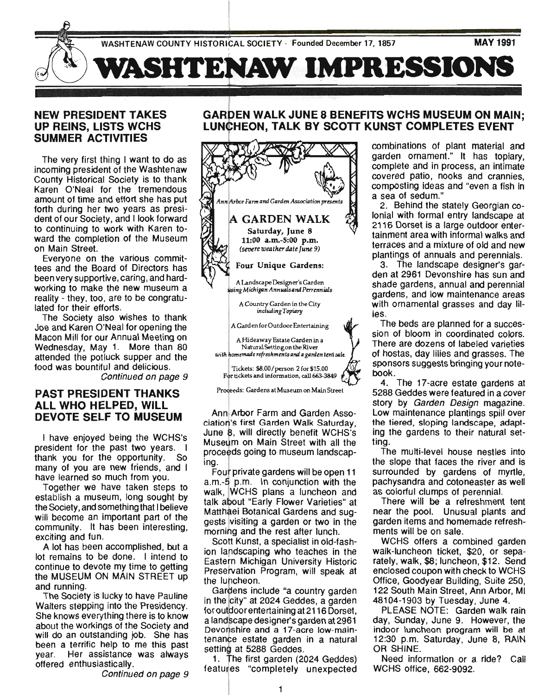

#### **NEW PRESIDENT TAKES UP REINS, LISTS WCHS SUMMER ACTIVITIES**

The very first thing I want to do as incoming president of the Washtenaw County Historical Society is to thank Karen O'Neal for the tremendous amount of time and effort she has put forth during her two years as president of our Society, and I look forward to continuing to work with Karen toward the completion of the Museum on Main Street.

Everyone on the various committees and the Board of Directors has been very supportive, caring, and hardworking to make the new museum a reality - they, too, are to be congratulated for their efforts.

The Society also wishes to thank Joe and Karen O'Neal for opening the Macon Mill for our Annual Meeting on Wednesday, May 1. More than 80 attended the potluck supper and the food was bountiful and delicious.

Continued on page 9

#### **PAST PRESIDENT THANKS ALL WHO HELPED, WILL DEVOTE SELF TO MUSEUM**

I have enjoyed being the WCHS's president for the past two years. I thank you for the opportunity. So many of you are new friends, and I have learned so much from you.

Together we have taken steps to establish a museum, long sought by the Society, and something that I believe will become an important part of the community. It has been interesting, exciting and fun.

A lot has been accomplished, but a lot remains to be done. I intend to continue to devote my time to getting the MUSEUM ON MAIN STREET up and running.

The Society is lucky to have Pauline Walters stepping into the Presidency. She knows everything there is to know about the workings of the Society and will do an outstanding job. She has been a terrific help to me this past year. Her assistance was always offered enthusiastically.

Continued on page 9

#### **GARDEN WALK JUNE 8 BENEFITS WCHS MUSEUM ON MAIN;** LUNCHEON, TALK BY SCOTT KUNST COMPLETES EVENT



Ann Arbor Farm and Garden Association's first Garden Walk Saturday, June 8, will directly benefit WCHS's Museum on Main Street with all the proceeds going to museum landscaping.

Four private gardens will be open 11 a.m.-5 p.m. In conjunction with the walk, WCHS plans a luncheon and talk about "Early Flower Varieties" at Matthaei Botanical Gardens and suggests visiting a garden or two in the morning and the rest after lunch.

Scott Kunst, a specialist in old-fashion landscaping who teaches in the Eastern Michigan University Historic Preservation Program, will speak at the luncheon.

Gardens include "a country garden in the city" at 2024 Geddes, a garden for outdoor entertaining at 2116 Dorset, a landscape designer's garden at 2961 Devonshire and a 17-acre low-maintenance estate garden in a natural setting at 5288 Geddes.

1. The first garden (2024 Geddes) featuries "completely unexpected combinations of plant material and garden ornament." It has topiary, complete and in process, an intimate covered patio, nooks and crannies, composting ideas and "even a fish in a sea of sedum."

2. Behind the stately Georgian colonial with formal entry landscape at 2116 Dorset is a large outdoor entertainment area with informal walks and terraces and a mixture of old and new plantings of annuals and perennials.

3. The landscape deSigner's garden at 2961 Devonshire has sun and shade gardens, annual and perennial gardens, and low maintenance areas with ornamental grasses and day lilies.

The beds are planned for a succession of bloom in coordinated colors. There are dozens of labeled varieties of hostas, day lilies and grasses. The sponsors suggests bringing your notebook.

4. The 17-acre estate gardens at 5288 Geddes were featured in a cover story by Garden Design magazine. Low maintenance plantings spill over the tiered, sloping landscape, adapting the gardens to their natural setting.

The mUlti-level house nestles into the slope that faces the river and is surrounded by gardens of myrtle, pachysandra and cotoneaster as well as colorful clumps of perennial.

There will be a refreshment tent near the pool. Unusual plants and garden items and homemade refreshments will be on sale.

WCHS offers a combined garden walk-luncheon ticket, \$20, or separately, walk, \$8; luncheon, \$12. Send enclosed coupon with check to WCHS Office, Goodyear Building, Suite 250, 122 South Main Street, Ann Arbor, MI 48104-1903 by Tuesday, June 4.

PLEASE NOTE: Garden walk rain day, Sunday, June 9, However, the indoor luncheon program will be at 12:30 p.m. Saturday, June 8, RAIN OR SHINE.

Need information or a ride? Call WCHS office, 662-9092.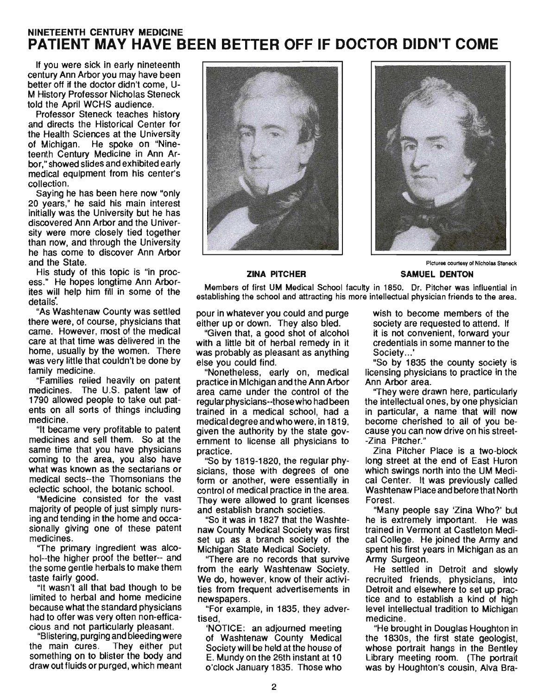# **NINETEENTH CENTURY MEDICINE PATIENT MAY HAVE BEEN BETTER OFF IF DOCTOR DIDN'T COME**

If you were sick in early nineteenth century Ann Arbor you may have been better off if the doctor didn't come, U-M History Professor Nicholas Steneck told the April WCHS audience.

Professor Steneck teaches history and directs the Historical Center for the Health Sciences at the University of Michigan. He spoke on "Nineteenth Century Medicine in Ann Arbor," showed slides and exhibited early medical equipment from his center's collection.

Saying he has been here now "only 20 years," he said his main interest initially was the University but he has discovered Ann Arbor and the University were more closely tied together than now, and through the University he has come to discover Ann Arbor and the State.

His study of this topic is "in process." He hopes longtime Ann Arborites will help him fill in some of the details'.

"As Washtenaw County was settled there were, of course, physicians that came. However, most of the medical care at that time was delivered in the home, usually by the women. There was very little that couldn't be done by family medicine.

"Families relied heavily on patent medicines. The U.S. patent law of 1790 allowed people to take out patents on all sorts of things including medicine. .

"It became very profitable to patent medicines and sell them. So at the same time that you have physicians coming to the area, you also have what was known as the sectarians or medical sects--the Thomsonians the eclectic school, the botanic school.

"Medicine consisted for the vast majority of people of just simply nursing and tending in the home and occasionally giving one of these patent medicines.

''The primary ingredient was alcohol--the higher proof the better-- and the some gentle herbals to make them taste fairly good.

"It wasn't all that bad though to be limited to herbal and home medicine because what the standard physicians had to offer was very often non-efficacious and not particularly pleasant.

"Blistering, purging and bleeding were the main cures. They either put something on to blister the body and draw out fluids or purged, which meant





Pictures courtesy of Nicholas Steneck

#### **ZINA PITCHER SAMUEL DENTON**

Members of first UM Medical School faculty in 1850. Dr. Pitcher was influential in establishing the school and attracting his more intellectual physician friends to the area.

pour in whatever you could and purge either up or down. They also bled.

"Given that, a good shot of alcohol with a little bit of herbal remedy in it was probably as pleasant as anything else you could find.

"Nonetheless, early on, medical practice in Michigan and the Ann Arbor area came under the control of the regular physicians--those who had been trained in a medical school, had a medical degree and who were, in 1819, given the authority by the state government to license all physicians to practice.

"So by 1819-1820, the regular physicians, those with degrees of one form or another, were essentially in control of medical practice in the area. They were allowed to grant licenses and establish branch societies.

"So it was in 1827 that the Washtenaw County Medical Society was first set up as a branch society of the Michigan State Medical Society.

''There are no records that survive from the early Washtenaw Society. We do, however, know of their activities from frequent advertisements in newspapers.

"For example, in 1835, they advertised,

'NOTICE: an adjourned meeting of Washtenaw County Medical Society will be held at the house of E. Mundy on the 26th instant at 10 o'clock January 1835. Those who wish to become members of the society are requested to attend. If it is not convenient, forward your credentials in some manner to the Society...'

"So by 1835 the county SOCiety is licensing physicians to practice in the Ann Arbor area.

''They were drawn here, particularly the intellectual ones, by one physician in particular, a name that will now become cherished to all of you because you can now drive on his street- -Zina Pitcher."

Zina Pitcher Place is a two-block long street at the end of East Huron which swings north into the UM Medical Center. It was previously called Washtenaw Place and before that North Forest.

"Many people say 'Zina Who?' but he is extremely important. He was trained in Vermont at Castleton Medical College. He joined the Army and spent his first years in Michigan as an Army Surgeon.

He settled in Detroit and slowly recruited friends, physicians, into Detroit and elsewhere to set up practice and to establish a kind of high level intellectual tradition to Michigan medicine.

"He brought in Douglas Houghton in the 18305, the first state geologist, whose portrait hangs in the Bentley Library meeting room. (The portrait was by Houghton's cousin, Alva Bra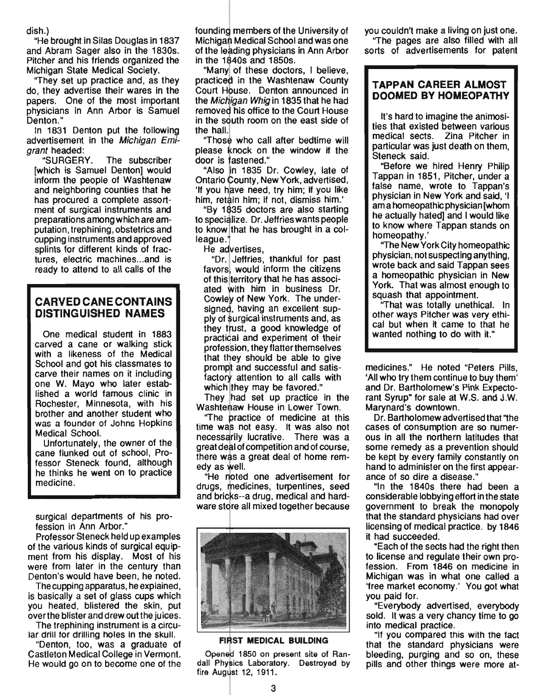dish.)

"He brought in Silas Douglas in 1837 and Abram Sager also in the 1830s. Pitcher and his friends organized the Michigan State Medical Society.

"They set up practice and, as they do, they advertise their wares in the papers. One of the most important physicians in Ann Arbor is Samuel Denton."

In 1831 Denton put the following advertisement in the Michigan Emigrant headed:

"SURGERY. The subscriber [which is Samuel Denton] would inform the people of Washtenaw and neighboring counties that he has procured a complete assortment of surgical instruments and preparations among which are amputation, trephining, obstetrics and cupping instruments and approved splints for different kinds of fractures, electric machines...and is ready to attend to all calls of the

## **CARVED CANE CONTAINS DISTINGUISHED NAMES**

One medical student in 1883 carved a cane or walking stick with a likeness of the Medical School and got his classmates to carve their names on it including one W. Mayo who later established a world famous clinic in Rochester, Minnesota, with his brother and another student who was a founder of Johns Hopkins Medical School.

Unfortunately, the owner of the cane flunked out of school, Professor Steneck found, although he thinks he went on to practice medicine.

surgical departments of his profession in Ann Arbor."

Professor Steneck held up examples of the various kinds of surgical equipment from his display. Most of his were from later in the century than Denton's would have been, he noted.

The cupping apparatus, he explained, is basically a set of glass cups which you heated, blistered the skin, put overthe blister and drew out the juices.

The trephining instrument is a circular drill for drilling holes in the skull.

"Denton, too, was a graduate of Castleton Medical College in Vermont. He would go on to become one of the founding members of the University of Michigan Medical School and was one of the leading physicians in Ann Arbor in the 1840s and 1850s.

"Many of these doctors, I believe, practiced in the Washtenaw County Court House. Denton announced in the Michigan Whig in 1835 that he had removed his office to the Court House in the south room on the east side of the hall.

"Those who call after bedtime will please knock on the window if the door is fastened."

"Also in 1835 Dr. Cowley, late of Ontario County, New York, advertised, If you have need, try him; if you like him; if not, dismiss him.'

"By 1835 doctors are also starting to specialize. Dr. Jeffries wants people to know that he has brought in a colleague.<sup>"</sup>

He advertises,

"Dr. Jeffries, thankful for past favors, would inform the citizens of this territory that he has associated with him in business Dr. Cowley of New York. The undersigned, having an excellent supply of surgical instruments and, as they trust, a good knowledge of practical and experiment of their profession, they flatter themselves that they should be able to give prompt and successful and satisfactory attention to all calls with which they may be favored."

They had set up practice in the Washtenaw House in Lower Town.

"The practice of medicine at this time was not easy. It was also not necessarily lucrative. There was a great deal of competition and of course, there was a great deal of home remedy as well.

"He noted one advertisement for drugs, medicines, turpentines, seed and bricks--a drug, medical and hardware store all mixed together because



#### FIRST MEDICAL BUILDING

Opened 1850 on present site of Randall Physics Laboratory. Destroyed by fire August 12, 1911.

you couldn't make a living on just one.

"The pages are also filled with all sorts of advertisements for patent

#### **TAPPAN CAREER ALMOST DOOMED BY HOMEOPATHY**

It's hard to imagine the animosities that existed between various medical sects. Zina Pitcher in particular was just death on them, Steneck said.

"Before we hired Henry Philip Tappan in 1851, Pitcher, under a false name, wrote to Tappan's physician in New York and said, 'I am a homeopathic physician [whom he actually hated] and I would like to know where Tappan stands on homeopathy.'

''The New York City homeopathic physician, not suspecting anything, wrote back and said Tappan sees a homeopathic physician in New York. That was almost enough to squash that appointment.

''That was totally unethical. In other ways Pitcher was very ethical but when it came to that he wanted nothing to do with it."

medicines." He noted "Peters Pills, 'All who try them continue to buy them' and Dr. Bartholomew's Pink Expectorant Syrup" for sale at W.S. and J.W. Marynard's downtown.

Dr. Bartholomew advertised that "the cases of consumption are so numerous in all the northern latitudes that some remedy as a prevention should be kept by every family constantly on hand to administer on the first appearance of so dire a disease."

"In the 18405 there had been a considerable lobbying effort in the state government to break the monopoly that the standard physicians had over licensing of medical practice. by 1846 it had succeeded.

"Each of the sects had the right then to license and regulate their own profession. From 1846 on medicine in Michigan was in what one called a 'free market economy.' You got what you paid for.

"Everybody advertised, everybody sold. It was a very chancy time to go into medical practice.

"If you compared this with the fact that the standard physicians were bleeding, purging and so on, these pills and other things were more at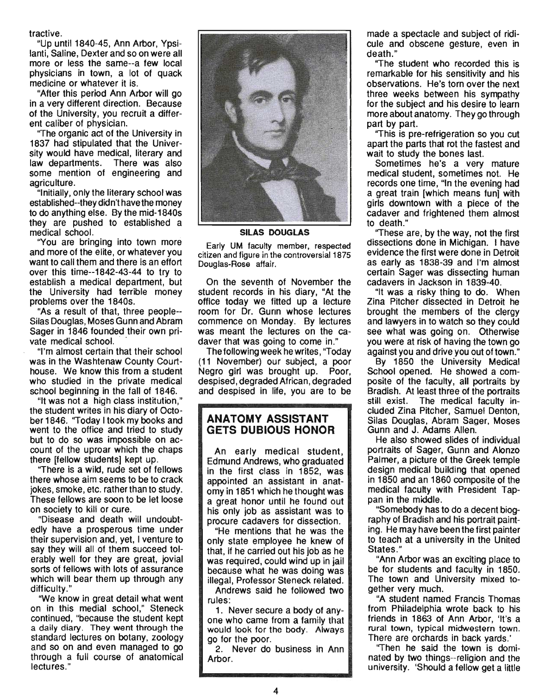tractive.

"Up until 1840-45, Ann Arbor, Ypsilanti, Saline, Dexter and so on were all more or less the same--a few local physicians in town, a lot of quack medicine or whatever it is.

"After this period Ann Arbor will go in a very different direction. Because of the University, you recruit a different caliber of physician.

"The organic act of the University in 1837 had stipulated that the University would have medical, literary and law departments. There was also some mention of engineering and agriculture.

"Initially, only the literary school was established--they didn't have the money to do anything else. By the mid-1840s they are pushed to established a medical school.

"You are bringing into town more and more of the elite, or whatever you want to call them and there is an effort over this time--1842-43-44 to try to establish a medical department, but the University had terrible money problems over the 1840s. .

"As a result of that, three people-- Silas Douglas, Moses Gunn and Abram Sager in 1846 founded their own private medical school.

"I'm almost certain that their school was in the Washtenaw County Courthouse. We know this from a student who studied in the private medical school beginning in the fall of 1846.

"It was not a high class institution," the student writes in his diary of October 1846. "Today I took my books and went to the office and tried to study but to do so was impossible on account of the uproar which the chaps there [fellow students] kept up.

"There is a wild, rude set of fellows there whose aim seems to be to crack jokes, smoke, etc. rather than to study. These fellows are soon to be let loose on society to kill or cure.

"Disease and death will undoubtedly have a prosperous time under their supervision and, yet, I venture to say they will all of them succeed tolerably well for they are great, jovial sorts of fellows with lots of assurance which will bear them up through any difficulty.'

"We know in great detail what went on in this medial school," Steneck continued, "because the student kept a daily diary. They went through the standard lectures on botany, zoology and so on and even managed to go through a full course of anatomical lectures."



**SILAS DOUGLAS** 

Early UM faculty member, respected citizen and figure in the controversial 1875 Douglas-Rose affair.

On the seventh of November the student records in his diary, "At the office today we fitted up a lecture room for Dr. Gunn whose lectures commence on Monday. By lectures was meant the lectures on the cadaver that was going to come in."

The following week he writes , "Today (11 November) our subject, a poor Negro girl was brought up. Poor, despised, degraded African, degraded and despised in life, you are to be

### **ANATOMY ASSISTANT GETS DUBIOUS HONOR**

An early medical student, Edmund Andrews, who graduated in the first class in 1852, was appointed an assistant in anatomy in 1851 which he thought was a great honor until he found out his only job as assistant was to procure cadavers for dissection.

"He mentions that he was the only state employee he knew of that, if he carried out his job as he was required, could wind up in jail because what he was doing was illegal, Professor Steneck related.

Andrews said he followed two rules:

1. Never secure a body of anyone who came from a family that would look for the body. Always go for the poor.

2. Never do business in Ann Arbor.

made a spectacle and subject of ridicule and obscene gesture, even in death."

The student who recorded this is remarkable for his sensitivity and his observations. He's torn over the next three weeks betWeen his sympathy for the subject and his desire to learn more about anatomy. They go through part by part.

i'This is pre-refrigeration so you cut apart the parts that rot the fastest and wait to study the bones last.

Sometimes he's a very mature medical student, sometimes not. He records one time, "In the evening had a great train [which means fun] with girls downtown with a piece of the cadaver and frightened them almost to death."

''These are, by the way, not the first dissections done in Michigan. I have evidence the first were done in Detroit as early as 1838-39 and I'm almost certain Sager was dissecting human cadavers in Jackson in 1839-40.

"It was a risky thing to do. When Zina Pitcher dissected in Detroit he brought the members of the clergy and lawyers in to watch so they could see what was going on. Otherwise you were at risk of having the town go against you and drive you out of town."

By 1850 the University Medical School opened. He showed a compoSite of the faculty, all portraits by Bradish. At least three of the portraits still exist. The medical faculty included Zina Pitcher, Samuel Denton, Silas Douglas, Abram Sager. Moses Gunn and J. Adams Allen.

He also showed slides of individual portraits of Sager, Gunn and Alonzo Palmer, a picture of the Greek temple design medical building that opened in 1850 and an 1860 composite of the medical faculty with President Tappan in the middle.

"Somebody has to do a decent biography of Bradish and his portrait painting. He may have been the first painter to teach at a university in the United States."

"Ann Arbor was an·exciting place to be for students and faculty in 1850. The town and University mixed together very much.

"A student named Francis Thomas from Philadelphia wrote back to his friends in 1863 of Ann Arbor, 'It's a rural town, typical midwestern town. There are orchards in back yards.'

''Then he said the town is dominated by two things--religion and the university. 'Should a fellow get a little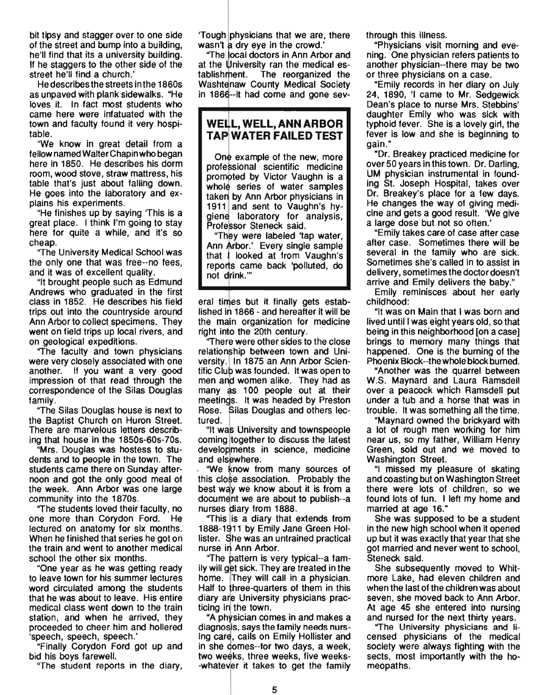bit tipsy and stagger over to one side of the street and bump into a building, he'll find that its a university building. If he staggers to the other side of the street he'll find a church.'

He describes the streets in the 1860s as unpaved with plank sidewalks. "He loves it. In fact most students who came here were infatuated with the town and faculty found it very hospitable.

'We know in great detail from a fellow named Walter Chapin who began here in 1850. He describes his dorm room, wood stove, straw mattress, his table that's just about falling down. He goes into the laboratory and explains his experiments.

"He finishes up by saying 'This is a great place. I think I'm going to stay here for quite a while, and it's so cheap.

"The University Medical School was the only one that was free--no fees, and it was of excellent quality.

"It brought people such as Edmund Andrews who graduated in the first class in 1852. He describes his field trips out into the countryside around Ann Arbor to collect specimens. They went on field trips up local rivers, and on geological expeditions.

"The faculty and town physicians were very closely associated with one another. If you want a very good impression of that read through the correspondence of the Silas Douglas family.

"The Silas Douglas house is next to the Baptist Church on Huron Street. There are marvelous letters describing that house in the 1850s-60s-70s.

"Mrs. Douglas was hostess to students and to people in the town. The students came there on Sunday afternoon and got the only good meal of the week. Ann Arbor was one large community into the 1870s.

"The students loved their faculty, no one more than Corydon Ford. He lectured on anatomy for six months. When he finished that series he got on the train and went to another medical school the other six months.

"One year as he was getting ready to leave town for his summer lectures word circulated among the students that he was about to leave. His entire medical class went down to the train station, and when he arrived, they proceeded to cheer him and hollered 'speech, speech, speech.'

"Finally Corydon Ford got up and bid his boys farewell.

"The student reports in the diary,

'Tough physicians that we are, there wasn't a dry eye in the crowd.'

"The local doctors in Ann Arbor and at the University ran the medical establishrhent. The reorganized the Washtenaw County Medical Society in 1866--it had come and gone sev-

# WELL, WELL, ANN ARBOR **TAP WATER FAILED TEST**

One example of the new, more professional scientific medicine promoted by Victor Vaughn is a whole series of water samples taken by Ann Arbor physicians in 1911 and sent to Vaughn's hygiene laboratory for analysis, Professor Steneck said.

"They were labeled 'tap water, Ann Arbor.' Every single sample that I looked at from Vaughn's reports came back 'polluted, do not drink."

eral times but it finally gets established in 1866 - and hereafter it will be the main organization for medicine right into the 20th century.

'There were other sides to the close relationship between town and University. In 1875 an Ann Arbor Scientific Club was founded. It was open to men and women alike. They had as many as 100 people out at their meetings. It was headed by Preston Rose. Silas Douglas and others lectured.

"It was University and townspeople coming Itogether to discuss the latest developments in science, medicine and elsewhere.

"We know from many sources of this close association. Probably the best way we know about it is from a document we are about to publish--a nurses diary from 1888.

"This is a diary that extends from 1888-1911 by Emily Jane Green Hollister. She was an untrained practical nurse in Ann Arbor.

"The pattern is very typical--a family will get sick. They are treated in the home. They will call in a physician. Half to three-quarters of them in this diary are University physicians practicing in the town.

"A physician comes in and makes a diagnosis, says the family needs nursing care, calls on Emily Hollister and in she comes--for two days, a week, two weeks, three weeks, five weeks- -whatever it takes to get the family through this illness.

"Physicians visit morning and evening. One physician refers patients to another physician--there may be two or three physicians on a case.

"Emily records in her diary on July 24, 1890, 'I came to Mr. Sedgewick Dean's place to nurse Mrs. Stebbins' daughter Emily who was sick with typhoid fever. She is a lovely girl, the fever is low and she is beginning to gain."

"Dr. Breakey practiced medicine for over 50 years in this town. Dr. Darling, UM physician instrumental in founding St. Joseph Hospital, takes over Dr. Breakey's place for a few days. He changes the way of giving medicine and gets a good result. 'We give a large dose but not so often.'

"Emily takes care of case after case after case. Sometimes there will be several in the family who are sick. Sometimes she's called in to assist in delivery, sometimes the doctor doesn't arrive and Emily delivers the baby."

Emily reminisces about her early childhood:

"It was on Main that I was born and lived until I was eight years old, so that being in this neighborhood [on a case] brings to memory many things that happened. One is the burning of the Phoenix Block--the whole block burned.

"Another was the quarrel between W.S. Maynard and Laura Ramsdell over a peacock which Ramsdell put under a tub and a horse that was in trouble. It was something all the time.

"Maynard owned the brickyard with a lot of rough men working for him near us, so my father, William Henry Green, sold out and we moved to Washington Street.

"I missed my pleasure of skating and coasting but on Washington Street there were lots of children, so we found lots of fun. I left my home and married at age 16."

She was supposed to be a student in the new high school when it opened up but it was exactly that year that she got married and never went to school, Steneck said.

She subsequently moved to Whitmore Lake, had eleven children and when the last of the children was about seven, she moved back to Ann Arbor. At age 45 she entered into nursing and nursed for the next thirty years.

"The University physicians and licensed physicians of the medical society were always fighting with the sects, most importantly with the homeopaths.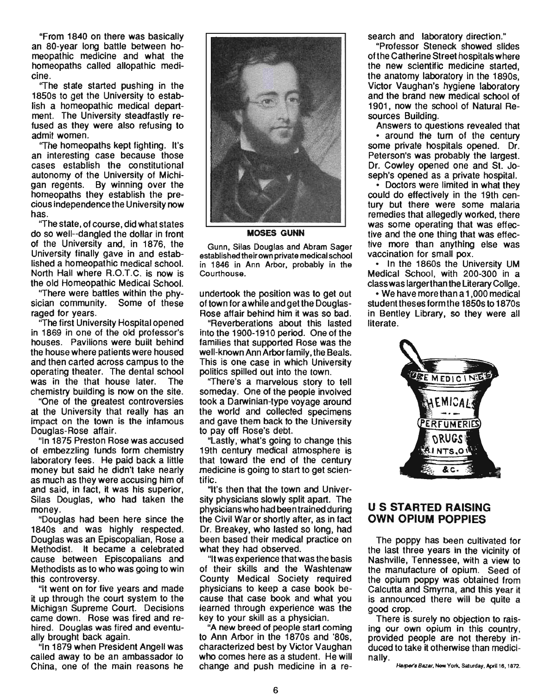"From 1840 on there was basically an 80-year long battle between homeopathic medicine and what the homeopaths called allopathic medicine.

''The state started pushing in the 1850s to get the University to establish a homeopathic medical department. The University steadfastly refused as they were also refusing to admit women.

''The homeopaths kept fighting. It's an interesting case because those cases establish the constitutional autonomy of the University of Michigan regents. By winning over the homeopaths they establish the precious independence the University now has.

''The state, of course, did what states do so well--dangled the dollar in front of the University and, in 1876, the University finally gave in and established a homeopathic medical school. North Hall where R.O.T.C. is now is the old Homeopathic Medical School.

''There were battles within the physician community. Some of these raged for years.

The first University Hospital opened in 1869 in one of the old professor's houses. Pavilions were built behind the house where patients were housed and then carted across campus to the operating theater. The dental school was in the that house later. The chemistry building is now on the site.

. "One of the greatest controversies at the University that really has an impact on the town is the infamous Douglas-Rose affair.

"In 1875 Preston Rose was accused of embezzling funds form chemistry laboratory fees. He paid back a little money but said he didn't take nearly as much as they were accusing him of and said, in fact, it was his superior, Silas Douglas, who had taken the money.

"Douglas had been here since the 1840s and was highly respected. Douglas was an Episcopalian, Rose a Methodist. It became a celebrated cause between Episcopalians and Methodists as to who was going to win this controversy.

"It went on for five years and made it up through the court system to the Michigan Supreme Court. Decisions came down. Rose was fired and rehired. Douglas was fired and eventually brought back again.

"In 1879 when President Angell was called away to be an ambassador to China, one of the main reasons he



MOSES GUNN

Gunn, Silas Douglas and Abram Sager established their own private medical school in 1846 in Ann Arbor, probably in the Courthouse.

undertook the position was to get out of town for a while and get the Douglas-Rose affair behind him it was so bad.

"Reverberations about this lasted into the 1900-1910 period. One of the families that supported Rose was the well-known Ann Arbor family , the Beals. This is one case in which University politics spilled out into the town.

''There's a marvelous story to tell someday. One of the people involved took a Darwinian-type voyage around the world and collected specimens and gave them back to the University to payoff Rose's debt.

Lastly, what's going to change this 19th century medical atmosphere is that toward the end of the century medicine is going to start to get scientific.

"It's then that the town and University physicians slowly split apart. The physicians who had been trained during the Civil War or shortly atter, as in fact Dr. Breakey, who lasted so long, had been based their medical practice on what they had observed.

"It was experience that was the basis of their skills and the Washtenaw County Medical Society required physicians to keep a case book because that case book and what you learned through experience was the key to your skill as a physician.

"A new breed of people start coming to Ann Arbor in the 1870s and '80s, characterized best by Victor Vaughan who comes here as a student. He will change and push medicine in a research and laboratory direction."

"Professor Steneck showed slides of the Catherine Street hospitals where the new scientific medicine started, the anatomy laboratory in the 1890s, Victor Vaughan's hygiene laboratory and the brand new medical school of . 1901 , now the school of Natural Resources Building.

Answers to questions revealed that • around the tum of the century some private hospitals opened. Dr. Peterson's was probably the largest. Dr. Cowley opened one and St. Joseph's opened as a private hospital.

• Doctors were limited in what they could do effectively in the 19th century but there were some malaria remedies that allegedly worked, there was some operating that was effective and the one thing that was effective more than anything else was vaccination for small pox.

• In the 1860s the University UM Medical School, with 200-300 in a class was larger than the Literary Collge.

• We have more than a 1 ,000 medical student theses form the 1850s to 1870s in Bentley Library, so they were all literate.



#### U S STARTED RAISING OWN OPIUM POPPIES

The poppy has been cultivated for the last three years in the vicinity of Nashville, Tennessee, with a view to the manufacture of opium. Seed of the opium poppy was obtained from Calcutta and Smyrna, and this year it is announced there will be quite a good crop.

There is surely no objection to raising our own opium in this country, provided people are not thereby induced to take it otherwise than medicinally.<br>Harper's Bazar, New York, Saturday, April 18, 1872.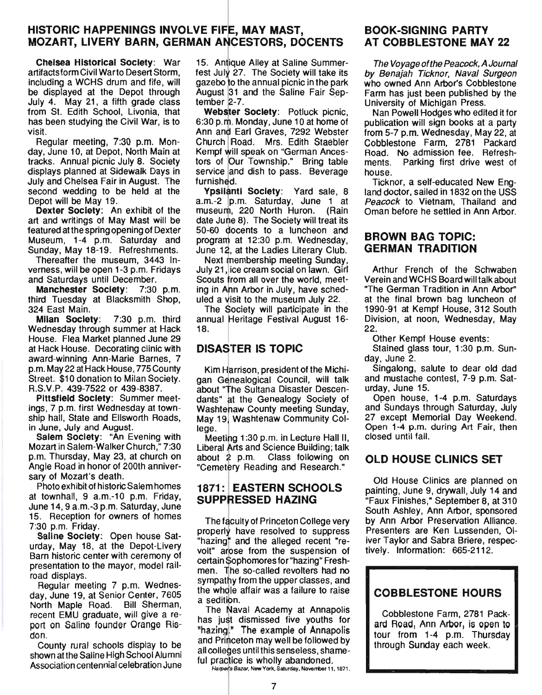## HISTORIC HAPPENINGS INVOLVE FIFE, MAY MAST, MOZART, LIVERY BARN, GERMAN ANCESTORS, DOCENTS

**Chelsea Historical Society: War 15. Antique Alley at Saline Summer-**<br>artifacts form Civil Warto Desert Storm. fest July 27. The Society will take its artifacts form Civil Warto Desert Storm, fest July 27. The Society will take its including a WCHS drum and fife, will gazebo to the annual picnic in the park be displayed at the Depot through August 31 and the Saline Fair Sep-July 4. May 21, a fifth grade class tember  $2-7$ . from St. Edith School, Livonia, that **Webster Society**: Potluck picnic, has been studying the Civil War, is to 6:30 p.m. Monday, June 10 at home of visit. **Ann and Earl Graves, 7292 Webster** 

day, June 10, at Depot, North Main at tracks. Annual picnic July 8. Society tors of Our Township." Bring table displays planned at Sidewalk Days in service and dish to pass. Beverage July and Chelsea Fair in August. The furnished. second wedding to be held at the **Ypsilanti Society**: Yard sale, 8<br>Depot will be May 19. **a.m.**-2 p.m. Saturday, June 1 at

art and writings of May Mast will be date Jume 8). The Society will treat its featured at the spring opening of Dexter 50-60 docents to a luncheon and Museum, 1-4 p.m. Saturday and program at 12:30 p.m. Wednesday, Sunday, May 18-19. Refreshments. June 12, at the Ladies Literary Club.

verness, will be open 1-3 p.m. Fridays and Saturdays until December.

third Tuesday at Blacksmith Shop, uled a visit to the museum July 22. 324 East Main. The Society will participate in the

Wednesday through summer at Hack 18. House. Flea Market planned June 29 at Hack House. Decorating clinic with award-winning Ann-Marie Barnes, 7 p.m. May 22 at Hack House, 775 County Street. \$10 donation to Milan Society. R.S.V.P. 439-7522 or 439-8387.

Pittsfield Society: Summer meetings, 7 p.m. first Wednesday at township hall, State and Ellsworth Roads, in June, July and August.

Salem Society: "An Evening with Mozart in Salem-Walker Church," 7:30 p.m. Thursday, May 23, at church on Angle Road in honor of 200th anniversary of Mozart's death.

Photo exhibit of historic Salem homes at townhall, 9 a.m.-10 p.m. Friday, June 14, 9 a.m.-3 p.m. Saturday, June 15. Reception for owners of homes 7:30 p.m. Friday.

Saline Society: Open house Saturday, May 18, at the Depot-Livery Barn historic center with ceremony of presentation to the mayor, model railroad displays.

Regular meeting 7 p.m. Wednesday, June 19, at Senior Center, 7605 North Maple Road. Bill Sherman, recent EMU graduate, will give a report on Saline founder Orange Risdon.

County rural schools display to be shown at the Saline High School Alumni Association centennial celebration June gazebo to the annual picnic in the park

Regular meeting, 7:30 p.m. Mon- Church Road. Mrs. Edith Staebler

a.m.-2 p.m. Saturday, June 1 at Dexter Society: An exhibit of the museum, 220 North Huron. (Rain June 12, at the Ladies Literary Club.

Thereafter the museum, 3443 In-<br>
Primess, will be open 1-3 p.m. Fridays July 21, lice cream social on lawn. Girl Scouts from all over the world, meet-Manchester Society: 7:30 p.m. ing in Ann Arbor in July, have sched-

Milan Society: 7:30 p.m. third annual Heritage Festival August 16-

# DISASTER IS TOPIC

Kim Harrison, president of the Michigan Genealogical Council, will talk about "The Sultana Disaster Descendants" at the Genealogy Society of Washtenaw County meeting Sunday, May 19, Washtenaw Community Col-<br>lege.

Meetipg 1 :30 p.m. in Lecture Hall II, Liberal Arts and Science Building; talk about 2 p.m. Class following on "Cemetery Reading and Research."

## 1871: EASTERN SCHOOLS SUPPRESSED HAZING

The faculty of Princeton College very properly have resolved to suppress "hazing" and the alleged recent "revolt" arose from the suspension of certain Sophomores for "hazing" Freshmen. The so-called revolters had no sympathy from the upper classes, and the whole affair was a failure to raise a sedition.

The Naval Academy at Annapolis has just dismissed five youths for "hazing." The example of Annapolis and Princeton may well be followed by all colleges until this senseless, shameful practice is wholly abandoned.<br>Hamer's Bazar, New York, Saturday, November 11, 1871.

#### BOOK-SIGNING PARTY AT COBBLESTONE MAY 22

The Voyage of the Peacock, A Journal by Benajah Ticknor, Naval Surgeon who owned Ann Arbor's Cobblestone Farm has just been published by the University of Michigan Press.

Nan Powell Hodges who edited it for publication will sign books at a party from 5-7 p.m. Wednesday, May 22, at Cobblestone Farm, 2781 Packard Road. No admission fee. Refreshments. Parking first drive west of house.

Ticknor, a self-educated New England doctor, sailed in 1832 on the USS Peacock to Vietnam, Thailand and Oman before he settled in Ann Arbor.

#### BROWN BAG TOPIC: GERMAN TRADITION

Arthur French of the Schwaben Verein and WCHS Board will talk about "The German Tradition in Ann Arbor" at the final brown bag luncheon of 1990-91 at Kempf House, 312 South Division, at noon, Wednesday, May 22.

Other Kempf House events:

Stained glass tour, 1:30 p.m. Sunday, June 2.

Singalong, salute to dear old dad and mustache contest, 7-9 p.m. Saturday, June 15.

Open house, 1-4 p.m. Saturdays and Sundays through Saturday, July 27 except Memorial Day Weekend. Open 1-4 p.m. during Art Fair, then closed until fall.

# OLD HOUSE CLINICS SET

Old House Clinics are planned on painting, June 9, drywall, July 14 and "Faux Finishes," September 8, at 310 South Ashley, Ann Arbor, sponsored by Ann Arbor Preservation Alliance. Presenters are Ken Lussenden, Oliver Taylor and Sabra Briere, respectively. Information: 665-2112.

# COBBLESTONE HOURS

Cobblestone Farm, 2781 Packard Road, Ann Arbor, is open to tour from 1-4 p.m. Thursday through Sunday each week.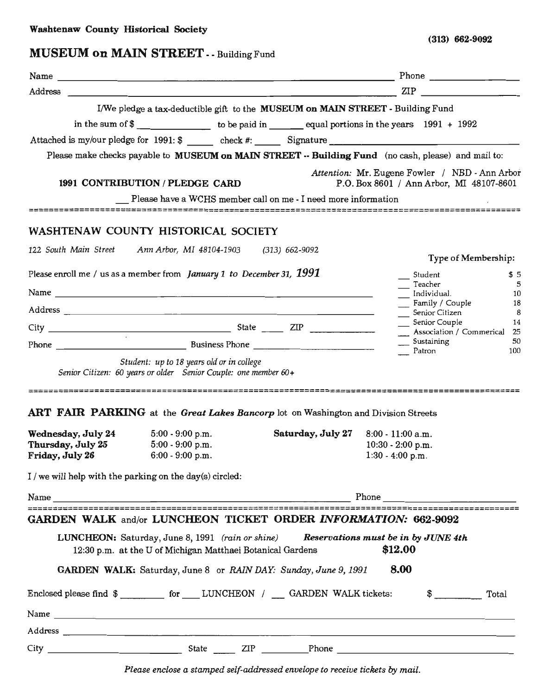(313) 662-9092

# MUSEUM on MAIN STREET --Building Fund

| $\mathbb{ZIP}$ $\qquad \qquad \qquad$<br>Address<br><u> 1999 - Johann Stoff, deutscher Stoff, der Stoff, der Stoff, der Stoff, der Stoff, der Stoff, der Stoff, der S</u><br>I/We pledge a tax-deductible gift to the MUSEUM on MAIN STREET - Building Fund<br>in the sum of $\frac{2}{3}$ to be paid in equal portions in the years 1991 + 1992<br>Please make checks payable to MUSEUM on MAIN STREET -- Building Fund (no cash, please) and mail to:<br>Attention: Mr. Eugene Fowler / NBD - Ann Arbor<br>1991 CONTRIBUTION / PLEDGE CARD<br>P.O. Box 8601 / Ann Arbor, MI 48107-8601<br>Please have a WCHS member call on me - I need more information<br>WASHTENAW COUNTY HISTORICAL SOCIETY<br>122 South Main Street Ann Arbor, MI 48104-1903 (313) 662-9092<br>Type of Membership:<br>Please enroll me / us as a member from <i>January 1 to December 31</i> , $1991$<br>Student<br>Teacher<br>-5<br>__ Individual.<br>10<br>Family / Couple<br>Senior Citizen<br>Senior Couple<br>$_{8}$<br>14<br>$City$ $2IP$<br>__ Association / Commerical 25<br>Sustaining<br>50<br>Patron<br>100<br>Student: up to 18 years old or in college<br>Senior Citizen: 60 years or older Senior Couple: one member 60+<br>ART FAIR PARKING at the Great Lakes Bancorp lot on Washington and Division Streets<br><b>Wednesday, July 24</b> $5:00 - 9:00 p.m.$<br>Saturday, July 27<br>$8:00 - 11:00$ a.m.<br>Thursday, July 25<br>$5:00 - 9:00$ p.m.<br>$10:30 - 2:00$ p.m.<br>Friday, July 26 6:00 - 9:00 p.m.<br>$1:30 - 4:00$ p.m.<br>I / we will help with the parking on the day(s) circled: | GARDEN WALK and/or LUNCHEON TICKET ORDER INFORMATION: 662-9092<br>LUNCHEON: Saturday, June 8, 1991 (rain or shine) Reservations must be in by JUNE 4th<br>\$12.00<br>12:30 p.m. at the U of Michigan Matthaei Botanical Gardens<br>GARDEN WALK: Saturday, June 8 or RAIN DAY: Sunday, June 9, 1991<br>8.00<br>Enclosed please find \$ ___________ for _____LUNCHEON / ____ GARDEN WALK tickets:<br>$\frac{1}{2}$ Total |  |  |
|-----------------------------------------------------------------------------------------------------------------------------------------------------------------------------------------------------------------------------------------------------------------------------------------------------------------------------------------------------------------------------------------------------------------------------------------------------------------------------------------------------------------------------------------------------------------------------------------------------------------------------------------------------------------------------------------------------------------------------------------------------------------------------------------------------------------------------------------------------------------------------------------------------------------------------------------------------------------------------------------------------------------------------------------------------------------------------------------------------------------------------------------------------------------------------------------------------------------------------------------------------------------------------------------------------------------------------------------------------------------------------------------------------------------------------------------------------------------------------------------------------------------------------------------------------------------------------------------|------------------------------------------------------------------------------------------------------------------------------------------------------------------------------------------------------------------------------------------------------------------------------------------------------------------------------------------------------------------------------------------------------------------------|--|--|
|                                                                                                                                                                                                                                                                                                                                                                                                                                                                                                                                                                                                                                                                                                                                                                                                                                                                                                                                                                                                                                                                                                                                                                                                                                                                                                                                                                                                                                                                                                                                                                                         |                                                                                                                                                                                                                                                                                                                                                                                                                        |  |  |
| \$5<br>18                                                                                                                                                                                                                                                                                                                                                                                                                                                                                                                                                                                                                                                                                                                                                                                                                                                                                                                                                                                                                                                                                                                                                                                                                                                                                                                                                                                                                                                                                                                                                                               |                                                                                                                                                                                                                                                                                                                                                                                                                        |  |  |
|                                                                                                                                                                                                                                                                                                                                                                                                                                                                                                                                                                                                                                                                                                                                                                                                                                                                                                                                                                                                                                                                                                                                                                                                                                                                                                                                                                                                                                                                                                                                                                                         |                                                                                                                                                                                                                                                                                                                                                                                                                        |  |  |
|                                                                                                                                                                                                                                                                                                                                                                                                                                                                                                                                                                                                                                                                                                                                                                                                                                                                                                                                                                                                                                                                                                                                                                                                                                                                                                                                                                                                                                                                                                                                                                                         |                                                                                                                                                                                                                                                                                                                                                                                                                        |  |  |
|                                                                                                                                                                                                                                                                                                                                                                                                                                                                                                                                                                                                                                                                                                                                                                                                                                                                                                                                                                                                                                                                                                                                                                                                                                                                                                                                                                                                                                                                                                                                                                                         |                                                                                                                                                                                                                                                                                                                                                                                                                        |  |  |
|                                                                                                                                                                                                                                                                                                                                                                                                                                                                                                                                                                                                                                                                                                                                                                                                                                                                                                                                                                                                                                                                                                                                                                                                                                                                                                                                                                                                                                                                                                                                                                                         |                                                                                                                                                                                                                                                                                                                                                                                                                        |  |  |
|                                                                                                                                                                                                                                                                                                                                                                                                                                                                                                                                                                                                                                                                                                                                                                                                                                                                                                                                                                                                                                                                                                                                                                                                                                                                                                                                                                                                                                                                                                                                                                                         |                                                                                                                                                                                                                                                                                                                                                                                                                        |  |  |
|                                                                                                                                                                                                                                                                                                                                                                                                                                                                                                                                                                                                                                                                                                                                                                                                                                                                                                                                                                                                                                                                                                                                                                                                                                                                                                                                                                                                                                                                                                                                                                                         |                                                                                                                                                                                                                                                                                                                                                                                                                        |  |  |
|                                                                                                                                                                                                                                                                                                                                                                                                                                                                                                                                                                                                                                                                                                                                                                                                                                                                                                                                                                                                                                                                                                                                                                                                                                                                                                                                                                                                                                                                                                                                                                                         |                                                                                                                                                                                                                                                                                                                                                                                                                        |  |  |
|                                                                                                                                                                                                                                                                                                                                                                                                                                                                                                                                                                                                                                                                                                                                                                                                                                                                                                                                                                                                                                                                                                                                                                                                                                                                                                                                                                                                                                                                                                                                                                                         |                                                                                                                                                                                                                                                                                                                                                                                                                        |  |  |
|                                                                                                                                                                                                                                                                                                                                                                                                                                                                                                                                                                                                                                                                                                                                                                                                                                                                                                                                                                                                                                                                                                                                                                                                                                                                                                                                                                                                                                                                                                                                                                                         |                                                                                                                                                                                                                                                                                                                                                                                                                        |  |  |
|                                                                                                                                                                                                                                                                                                                                                                                                                                                                                                                                                                                                                                                                                                                                                                                                                                                                                                                                                                                                                                                                                                                                                                                                                                                                                                                                                                                                                                                                                                                                                                                         |                                                                                                                                                                                                                                                                                                                                                                                                                        |  |  |
|                                                                                                                                                                                                                                                                                                                                                                                                                                                                                                                                                                                                                                                                                                                                                                                                                                                                                                                                                                                                                                                                                                                                                                                                                                                                                                                                                                                                                                                                                                                                                                                         |                                                                                                                                                                                                                                                                                                                                                                                                                        |  |  |
|                                                                                                                                                                                                                                                                                                                                                                                                                                                                                                                                                                                                                                                                                                                                                                                                                                                                                                                                                                                                                                                                                                                                                                                                                                                                                                                                                                                                                                                                                                                                                                                         |                                                                                                                                                                                                                                                                                                                                                                                                                        |  |  |
|                                                                                                                                                                                                                                                                                                                                                                                                                                                                                                                                                                                                                                                                                                                                                                                                                                                                                                                                                                                                                                                                                                                                                                                                                                                                                                                                                                                                                                                                                                                                                                                         |                                                                                                                                                                                                                                                                                                                                                                                                                        |  |  |
|                                                                                                                                                                                                                                                                                                                                                                                                                                                                                                                                                                                                                                                                                                                                                                                                                                                                                                                                                                                                                                                                                                                                                                                                                                                                                                                                                                                                                                                                                                                                                                                         |                                                                                                                                                                                                                                                                                                                                                                                                                        |  |  |
|                                                                                                                                                                                                                                                                                                                                                                                                                                                                                                                                                                                                                                                                                                                                                                                                                                                                                                                                                                                                                                                                                                                                                                                                                                                                                                                                                                                                                                                                                                                                                                                         |                                                                                                                                                                                                                                                                                                                                                                                                                        |  |  |
|                                                                                                                                                                                                                                                                                                                                                                                                                                                                                                                                                                                                                                                                                                                                                                                                                                                                                                                                                                                                                                                                                                                                                                                                                                                                                                                                                                                                                                                                                                                                                                                         |                                                                                                                                                                                                                                                                                                                                                                                                                        |  |  |
|                                                                                                                                                                                                                                                                                                                                                                                                                                                                                                                                                                                                                                                                                                                                                                                                                                                                                                                                                                                                                                                                                                                                                                                                                                                                                                                                                                                                                                                                                                                                                                                         |                                                                                                                                                                                                                                                                                                                                                                                                                        |  |  |
|                                                                                                                                                                                                                                                                                                                                                                                                                                                                                                                                                                                                                                                                                                                                                                                                                                                                                                                                                                                                                                                                                                                                                                                                                                                                                                                                                                                                                                                                                                                                                                                         |                                                                                                                                                                                                                                                                                                                                                                                                                        |  |  |
|                                                                                                                                                                                                                                                                                                                                                                                                                                                                                                                                                                                                                                                                                                                                                                                                                                                                                                                                                                                                                                                                                                                                                                                                                                                                                                                                                                                                                                                                                                                                                                                         |                                                                                                                                                                                                                                                                                                                                                                                                                        |  |  |
|                                                                                                                                                                                                                                                                                                                                                                                                                                                                                                                                                                                                                                                                                                                                                                                                                                                                                                                                                                                                                                                                                                                                                                                                                                                                                                                                                                                                                                                                                                                                                                                         |                                                                                                                                                                                                                                                                                                                                                                                                                        |  |  |
|                                                                                                                                                                                                                                                                                                                                                                                                                                                                                                                                                                                                                                                                                                                                                                                                                                                                                                                                                                                                                                                                                                                                                                                                                                                                                                                                                                                                                                                                                                                                                                                         |                                                                                                                                                                                                                                                                                                                                                                                                                        |  |  |
|                                                                                                                                                                                                                                                                                                                                                                                                                                                                                                                                                                                                                                                                                                                                                                                                                                                                                                                                                                                                                                                                                                                                                                                                                                                                                                                                                                                                                                                                                                                                                                                         |                                                                                                                                                                                                                                                                                                                                                                                                                        |  |  |
|                                                                                                                                                                                                                                                                                                                                                                                                                                                                                                                                                                                                                                                                                                                                                                                                                                                                                                                                                                                                                                                                                                                                                                                                                                                                                                                                                                                                                                                                                                                                                                                         |                                                                                                                                                                                                                                                                                                                                                                                                                        |  |  |
|                                                                                                                                                                                                                                                                                                                                                                                                                                                                                                                                                                                                                                                                                                                                                                                                                                                                                                                                                                                                                                                                                                                                                                                                                                                                                                                                                                                                                                                                                                                                                                                         |                                                                                                                                                                                                                                                                                                                                                                                                                        |  |  |
|                                                                                                                                                                                                                                                                                                                                                                                                                                                                                                                                                                                                                                                                                                                                                                                                                                                                                                                                                                                                                                                                                                                                                                                                                                                                                                                                                                                                                                                                                                                                                                                         |                                                                                                                                                                                                                                                                                                                                                                                                                        |  |  |
|                                                                                                                                                                                                                                                                                                                                                                                                                                                                                                                                                                                                                                                                                                                                                                                                                                                                                                                                                                                                                                                                                                                                                                                                                                                                                                                                                                                                                                                                                                                                                                                         |                                                                                                                                                                                                                                                                                                                                                                                                                        |  |  |
|                                                                                                                                                                                                                                                                                                                                                                                                                                                                                                                                                                                                                                                                                                                                                                                                                                                                                                                                                                                                                                                                                                                                                                                                                                                                                                                                                                                                                                                                                                                                                                                         |                                                                                                                                                                                                                                                                                                                                                                                                                        |  |  |
|                                                                                                                                                                                                                                                                                                                                                                                                                                                                                                                                                                                                                                                                                                                                                                                                                                                                                                                                                                                                                                                                                                                                                                                                                                                                                                                                                                                                                                                                                                                                                                                         |                                                                                                                                                                                                                                                                                                                                                                                                                        |  |  |

*Please enclose a stamped self-addressed envelope to receive tickets by mail.*